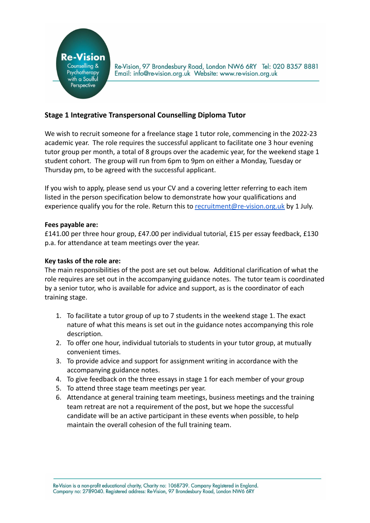

Re-Vision, 97 Brondesbury Road, London NW6 6RY Tel: 020 8357 8881 Email: info@re-vision.org.uk Website: www.re-vision.org.uk

## **Stage 1 Integrative Transpersonal Counselling Diploma Tutor**

We wish to recruit someone for a freelance stage 1 tutor role, commencing in the 2022-23 academic year. The role requires the successful applicant to facilitate one 3 hour evening tutor group per month, a total of 8 groups over the academic year, for the weekend stage 1 student cohort. The group will run from 6pm to 9pm on either a Monday, Tuesday or Thursday pm, to be agreed with the successful applicant.

If you wish to apply, please send us your CV and a covering letter referring to each item listed in the person specification below to demonstrate how your qualifications and experience qualify you for the role. Return this to [recruitment@re-vision.org.uk](mailto:recruitment@re-vision.org.uk) by 1 July.

## **Fees payable are:**

£141.00 per three hour group, £47.00 per individual tutorial, £15 per essay feedback, £130 p.a. for attendance at team meetings over the year.

## **Key tasks of the role are:**

The main responsibilities of the post are set out below. Additional clarification of what the role requires are set out in the accompanying guidance notes. The tutor team is coordinated by a senior tutor, who is available for advice and support, as is the coordinator of each training stage.

- 1. To facilitate a tutor group of up to 7 students in the weekend stage 1. The exact nature of what this means is set out in the guidance notes accompanying this role description.
- 2. To offer one hour, individual tutorials to students in your tutor group, at mutually convenient times.
- 3. To provide advice and support for assignment writing in accordance with the accompanying guidance notes.
- 4. To give feedback on the three essays in stage 1 for each member of your group
- 5. To attend three stage team meetings per year.
- 6. Attendance at general training team meetings, business meetings and the training team retreat are not a requirement of the post, but we hope the successful candidate will be an active participant in these events when possible, to help maintain the overall cohesion of the full training team.